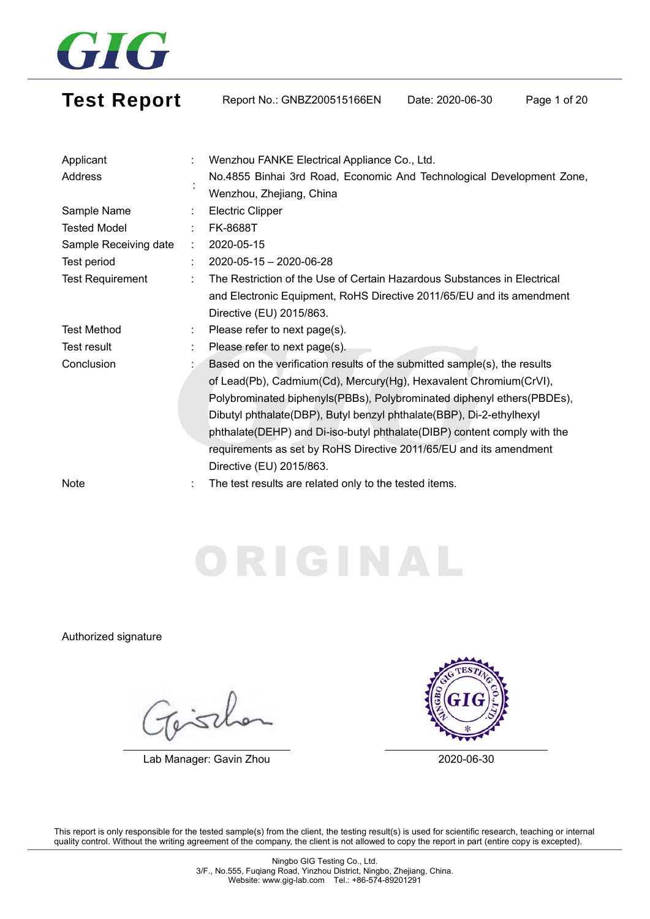

| <b>Test Report</b>                   |                           | Report No.: GNBZ200515166EN                                                                                                                                                                                                                                                                                                                                                                                                                                                      | Date: 2020-06-30                                                                                                                                  | Page 1 of 20 |  |  |  |  |
|--------------------------------------|---------------------------|----------------------------------------------------------------------------------------------------------------------------------------------------------------------------------------------------------------------------------------------------------------------------------------------------------------------------------------------------------------------------------------------------------------------------------------------------------------------------------|---------------------------------------------------------------------------------------------------------------------------------------------------|--------------|--|--|--|--|
| Applicant<br>Address                 |                           | Wenzhou FANKE Electrical Appliance Co., Ltd.<br>No.4855 Binhai 3rd Road, Economic And Technological Development Zone,<br>Wenzhou, Zhejiang, China                                                                                                                                                                                                                                                                                                                                |                                                                                                                                                   |              |  |  |  |  |
| Sample Name<br><b>Tested Model</b>   |                           | <b>Electric Clipper</b><br><b>FK-8688T</b>                                                                                                                                                                                                                                                                                                                                                                                                                                       |                                                                                                                                                   |              |  |  |  |  |
| Sample Receiving date<br>Test period | $\mathbb{R}^{\mathbb{Z}}$ | 2020-05-15<br>2020-05-15 - 2020-06-28                                                                                                                                                                                                                                                                                                                                                                                                                                            |                                                                                                                                                   |              |  |  |  |  |
| <b>Test Requirement</b>              |                           | Directive (EU) 2015/863.                                                                                                                                                                                                                                                                                                                                                                                                                                                         | The Restriction of the Use of Certain Hazardous Substances in Electrical<br>and Electronic Equipment, RoHS Directive 2011/65/EU and its amendment |              |  |  |  |  |
| <b>Test Method</b>                   |                           | Please refer to next page(s).                                                                                                                                                                                                                                                                                                                                                                                                                                                    |                                                                                                                                                   |              |  |  |  |  |
| Test result                          |                           | Please refer to next page(s).                                                                                                                                                                                                                                                                                                                                                                                                                                                    |                                                                                                                                                   |              |  |  |  |  |
| Conclusion                           |                           | Based on the verification results of the submitted sample(s), the results<br>of Lead(Pb), Cadmium(Cd), Mercury(Hg), Hexavalent Chromium(CrVI),<br>Polybrominated biphenyls (PBBs), Polybrominated diphenyl ethers (PBDEs),<br>Dibutyl phthalate(DBP), Butyl benzyl phthalate(BBP), Di-2-ethylhexyl<br>phthalate(DEHP) and Di-iso-butyl phthalate(DIBP) content comply with the<br>requirements as set by RoHS Directive 2011/65/EU and its amendment<br>Directive (EU) 2015/863. |                                                                                                                                                   |              |  |  |  |  |
| <b>Note</b>                          |                           | The test results are related only to the tested items.                                                                                                                                                                                                                                                                                                                                                                                                                           |                                                                                                                                                   |              |  |  |  |  |

# ORIGINAL

Authorized signature

Frisch

Lab Manager: Gavin Zhou 2020-06-30

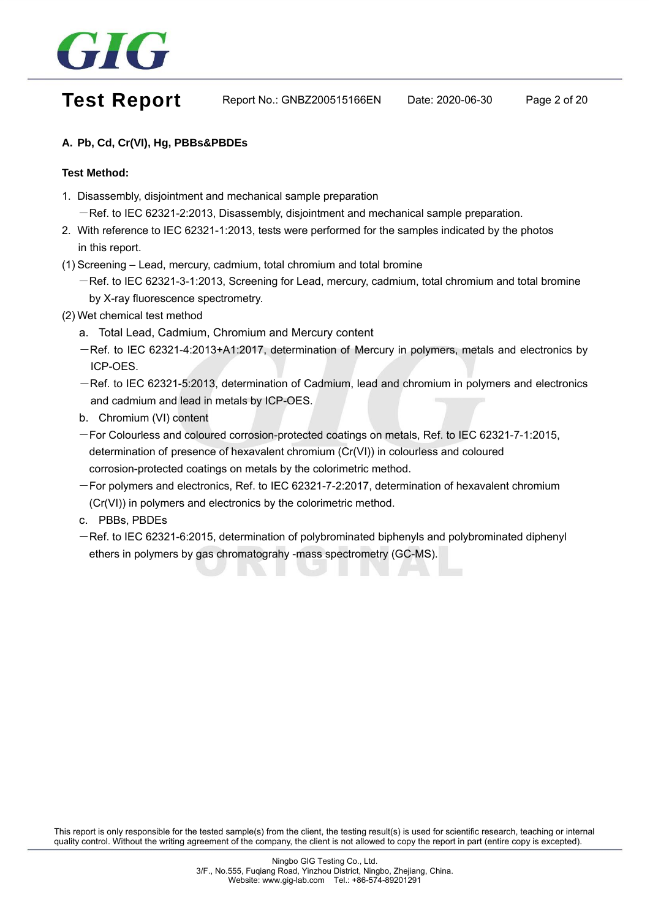

**Test Report** Report No.: GNBZ200515166EN Date: 2020-06-30 Page 2 of 20

### **A. Pb, Cd, Cr(VI), Hg, PBBs&PBDEs**

### **Test Method:**

1. Disassembly, disjointment and mechanical sample preparation

―Ref. to IEC 62321-2:2013, Disassembly, disjointment and mechanical sample preparation.

- 2. With reference to IEC 62321-1:2013, tests were performed for the samples indicated by the photos in this report.
- (1) Screening Lead, mercury, cadmium, total chromium and total bromine

―Ref. to IEC 62321-3-1:2013, Screening for Lead, mercury, cadmium, total chromium and total bromine by X-ray fluorescence spectrometry.

- (2) Wet chemical test method
	- a. Total Lead, Cadmium, Chromium and Mercury content
	- ―Ref. to IEC 62321-4:2013+A1:2017, determination of Mercury in polymers, metals and electronics by ICP-OES.
	- ―Ref. to IEC 62321-5:2013, determination of Cadmium, lead and chromium in polymers and electronics and cadmium and lead in metals by ICP-OES.
	- b. Chromium (VI) content
	- ―For Colourless and coloured corrosion-protected coatings on metals, Ref. to IEC 62321-7-1:2015, determination of presence of hexavalent chromium (Cr(VI)) in colourless and coloured corrosion-protected coatings on metals by the colorimetric method.
	- ―For polymers and electronics, Ref. to IEC 62321-7-2:2017, determination of hexavalent chromium (Cr(VI)) in polymers and electronics by the colorimetric method.
	- c. PBBs, PBDEs
	- ―Ref. to IEC 62321-6:2015, determination of polybrominated biphenyls and polybrominated diphenyl ethers in polymers by gas chromatograhy -mass spectrometry (GC-MS).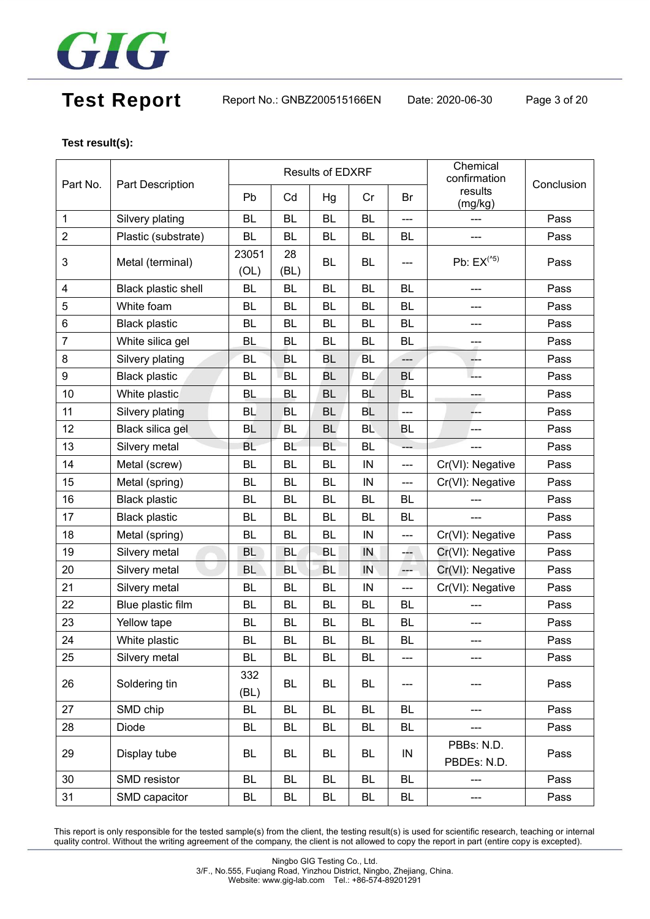

## **Test Report** Report No.: GNBZ200515166EN Date: 2020-06-30 Page 3 of 20

### **Test result(s):**

|                |                      |               |            | <b>Results of EDXRF</b> |           | Chemical<br>confirmation |                           |            |
|----------------|----------------------|---------------|------------|-------------------------|-----------|--------------------------|---------------------------|------------|
| Part No.       | Part Description     |               | Cd         | Hg                      | Cr        | Br                       | results<br>(mg/kg)        | Conclusion |
| 1              | Silvery plating      | <b>BL</b>     | <b>BL</b>  | <b>BL</b>               | <b>BL</b> |                          | ---                       | Pass       |
| $\overline{2}$ | Plastic (substrate)  | <b>BL</b>     | <b>BL</b>  | <b>BL</b>               | BL        | <b>BL</b>                |                           | Pass       |
| 3              | Metal (terminal)     | 23051<br>(OL) | 28<br>(BL) | <b>BL</b>               | BL        | ---                      | Pb: $EX^{(5)}$            | Pass       |
| 4              | Black plastic shell  | <b>BL</b>     | <b>BL</b>  | <b>BL</b>               | <b>BL</b> | <b>BL</b>                | ---                       | Pass       |
| 5              | White foam           | <b>BL</b>     | <b>BL</b>  | <b>BL</b>               | <b>BL</b> | <b>BL</b>                | ---                       | Pass       |
| 6              | <b>Black plastic</b> | <b>BL</b>     | <b>BL</b>  | <b>BL</b>               | <b>BL</b> | <b>BL</b>                | ---                       | Pass       |
| $\overline{7}$ | White silica gel     | <b>BL</b>     | <b>BL</b>  | <b>BL</b>               | <b>BL</b> | <b>BL</b>                | ---                       | Pass       |
| 8              | Silvery plating      | <b>BL</b>     | <b>BL</b>  | BL                      | <b>BL</b> | ---                      | ---                       | Pass       |
| 9              | <b>Black plastic</b> | <b>BL</b>     | <b>BL</b>  | <b>BL</b>               | BL        | <b>BL</b>                |                           | Pass       |
| 10             | White plastic        | <b>BL</b>     | <b>BL</b>  | <b>BL</b>               | <b>BL</b> | <b>BL</b>                | ---                       | Pass       |
| 11             | Silvery plating      | <b>BL</b>     | <b>BL</b>  | <b>BL</b>               | <b>BL</b> | ---                      |                           | Pass       |
| 12             | Black silica gel     | BL            | <b>BL</b>  | <b>BL</b>               | BL        | <b>BL</b>                | ---                       | Pass       |
| 13             | Silvery metal        | <b>BL</b>     | BL         | <b>BL</b>               | <b>BL</b> |                          |                           | Pass       |
| 14             | Metal (screw)        | <b>BL</b>     | <b>BL</b>  | <b>BL</b>               | IN        | ---                      | Cr(VI): Negative          | Pass       |
| 15             | Metal (spring)       | <b>BL</b>     | <b>BL</b>  | <b>BL</b>               | IN        | ---                      | Cr(VI): Negative          | Pass       |
| 16             | <b>Black plastic</b> | <b>BL</b>     | <b>BL</b>  | <b>BL</b>               | <b>BL</b> | <b>BL</b>                |                           | Pass       |
| 17             | <b>Black plastic</b> | <b>BL</b>     | <b>BL</b>  | <b>BL</b>               | <b>BL</b> | <b>BL</b>                | ---                       | Pass       |
| 18             | Metal (spring)       | <b>BL</b>     | <b>BL</b>  | <b>BL</b>               | IN        | ---                      | Cr(VI): Negative          | Pass       |
| 19             | Silvery metal        | <b>BL</b>     | <b>BL</b>  | <b>BL</b>               | IN        | -∸-                      | Cr(VI): Negative          | Pass       |
| 20             | Silvery metal        | <b>BL</b>     | <b>BL</b>  | <b>BL</b>               | IN        | ---                      | Cr(VI): Negative          | Pass       |
| 21             | Silvery metal        | <b>BL</b>     | <b>BL</b>  | <b>BL</b>               | IN        | ---                      | Cr(VI): Negative          | Pass       |
| 22             | Blue plastic film    | <b>BL</b>     | BL         | <b>BL</b>               | <b>BL</b> | <b>BL</b>                |                           | Pass       |
| 23             | Yellow tape          | <b>BL</b>     | <b>BL</b>  | <b>BL</b>               | <b>BL</b> | <b>BL</b>                |                           | Pass       |
| 24             | White plastic        | <b>BL</b>     | <b>BL</b>  | BL                      | <b>BL</b> | <b>BL</b>                | ---                       | Pass       |
| 25             | Silvery metal        | <b>BL</b>     | <b>BL</b>  | <b>BL</b>               | <b>BL</b> | ---                      | ---                       | Pass       |
| 26             | Soldering tin        | 332<br>(BL)   | BL         | <b>BL</b>               | <b>BL</b> |                          |                           | Pass       |
| 27             | SMD chip             | <b>BL</b>     | <b>BL</b>  | <b>BL</b>               | <b>BL</b> | <b>BL</b>                | ---                       | Pass       |
| 28             | <b>Diode</b>         | BL            | <b>BL</b>  | <b>BL</b>               | BL        | <b>BL</b>                |                           | Pass       |
| 29             | Display tube         | BL            | <b>BL</b>  | <b>BL</b>               | <b>BL</b> | IN                       | PBBs: N.D.<br>PBDEs: N.D. | Pass       |
| 30             | SMD resistor         | <b>BL</b>     | <b>BL</b>  | <b>BL</b>               | <b>BL</b> | <b>BL</b>                | ---                       | Pass       |
| 31             | SMD capacitor        | <b>BL</b>     | <b>BL</b>  | <b>BL</b>               | <b>BL</b> | <b>BL</b>                | ---                       | Pass       |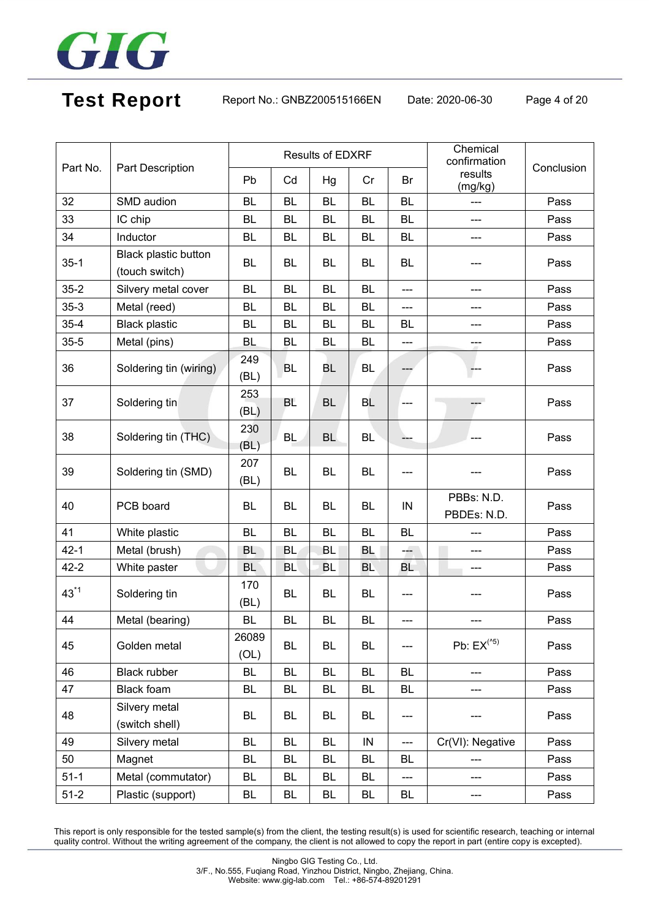

# **Test Report** Report No.: GNBZ200515166EN Date: 2020-06-30 Page 4 of 20

|           |                                               | <b>Results of EDXRF</b> |           |           |           |           | Chemical<br>confirmation  |            |
|-----------|-----------------------------------------------|-------------------------|-----------|-----------|-----------|-----------|---------------------------|------------|
| Part No.  | Part Description                              | Pb                      | Cd        | Hg        | Cr        | Br        | results<br>(mg/kg)        | Conclusion |
| 32        | SMD audion                                    | <b>BL</b>               | <b>BL</b> | <b>BL</b> | <b>BL</b> | <b>BL</b> | ---                       | Pass       |
| 33        | IC chip                                       | <b>BL</b>               | <b>BL</b> | <b>BL</b> | <b>BL</b> | <b>BL</b> |                           | Pass       |
| 34        | Inductor                                      | <b>BL</b>               | <b>BL</b> | <b>BL</b> | <b>BL</b> | <b>BL</b> | ---                       | Pass       |
| $35-1$    | <b>Black plastic button</b><br>(touch switch) | <b>BL</b>               | <b>BL</b> | <b>BL</b> | <b>BL</b> | <b>BL</b> |                           | Pass       |
| $35 - 2$  | Silvery metal cover                           | <b>BL</b>               | <b>BL</b> | <b>BL</b> | <b>BL</b> | ---       | ---                       | Pass       |
| $35 - 3$  | Metal (reed)                                  | <b>BL</b>               | <b>BL</b> | <b>BL</b> | <b>BL</b> | ---       | ---                       | Pass       |
| $35 - 4$  | <b>Black plastic</b>                          | <b>BL</b>               | <b>BL</b> | <b>BL</b> | <b>BL</b> | BL        |                           | Pass       |
| $35 - 5$  | Metal (pins)                                  | <b>BL</b>               | <b>BL</b> | <b>BL</b> | <b>BL</b> | ---       | ---                       | Pass       |
| 36        | Soldering tin (wiring)                        | 249<br>(BL)             | <b>BL</b> | BL        | <b>BL</b> |           |                           | Pass       |
| 37        | Soldering tin                                 | 253<br>(BL)             | <b>BL</b> | <b>BL</b> | <b>BL</b> | ---       |                           | Pass       |
| 38        | Soldering tin (THC)                           | 230<br>(BL)             | <b>BL</b> | BL.       | <b>BL</b> |           |                           | Pass       |
| 39        | Soldering tin (SMD)                           | 207<br>(BL)             | <b>BL</b> | <b>BL</b> | <b>BL</b> | ---       |                           | Pass       |
| 40        | PCB board                                     | <b>BL</b>               | <b>BL</b> | <b>BL</b> | <b>BL</b> | IN        | PBBs: N.D.<br>PBDEs: N.D. | Pass       |
| 41        | White plastic                                 | <b>BL</b>               | <b>BL</b> | <b>BL</b> | <b>BL</b> | <b>BL</b> | ---                       | Pass       |
| $42 - 1$  | Metal (brush)                                 | BL.                     | <b>BL</b> | BL        | BL        | ---       | ---                       | Pass       |
| $42 - 2$  | White paster                                  | <b>BL</b>               | <b>BL</b> | <b>BL</b> | <b>BL</b> | <b>BL</b> | ---                       | Pass       |
| $43^{*1}$ | Soldering tin                                 | 170<br>(BL)             | <b>BL</b> | <b>BL</b> | <b>BL</b> | ---       |                           | Pass       |
| 44        | Metal (bearing)                               | <b>BL</b>               | <b>BL</b> | <b>BL</b> | <b>BL</b> | ---       |                           | Pass       |
| 45        | Golden metal                                  | 26089<br>(OL)           | <b>BL</b> | <b>BL</b> | <b>BL</b> | ---       | Pb: $EX^{(45)}$           | Pass       |
| 46        | <b>Black rubber</b>                           | <b>BL</b>               | <b>BL</b> | <b>BL</b> | <b>BL</b> | <b>BL</b> | ---                       | Pass       |
| 47        | Black foam                                    | BL                      | <b>BL</b> | <b>BL</b> | <b>BL</b> | <b>BL</b> | ---                       | Pass       |
| 48        | Silvery metal<br>(switch shell)               | <b>BL</b>               | <b>BL</b> | <b>BL</b> | <b>BL</b> | ---       |                           | Pass       |
| 49        | Silvery metal                                 | <b>BL</b>               | <b>BL</b> | <b>BL</b> | IN        | $---$     | Cr(VI): Negative          | Pass       |
| 50        | Magnet                                        | BL                      | BL        | <b>BL</b> | BL        | BL        |                           | Pass       |
| $51-1$    | Metal (commutator)                            | <b>BL</b>               | <b>BL</b> | <b>BL</b> | <b>BL</b> | ---       | ---                       | Pass       |
| $51-2$    | Plastic (support)                             | <b>BL</b>               | <b>BL</b> | <b>BL</b> | <b>BL</b> | <b>BL</b> |                           | Pass       |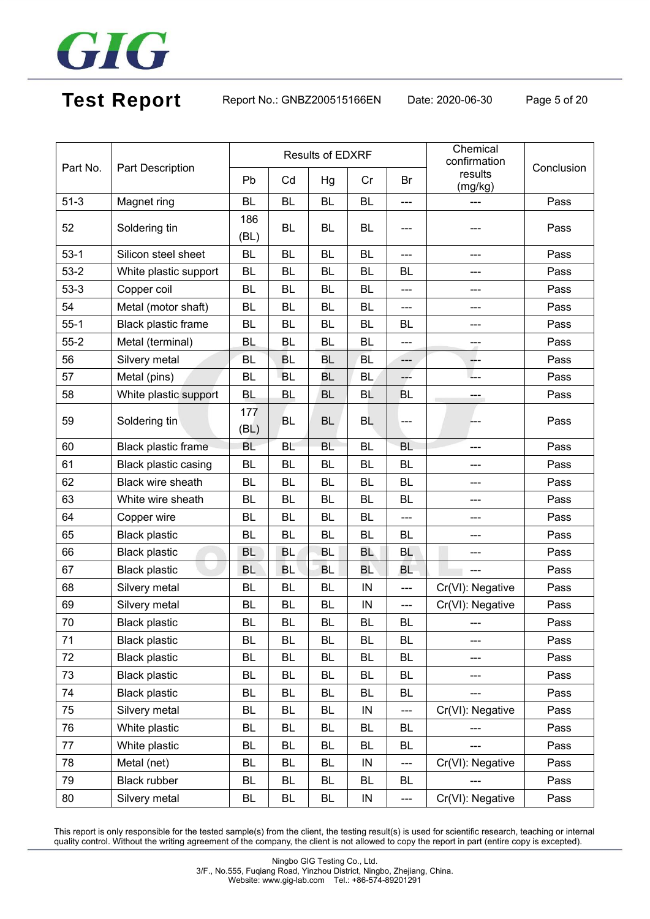

# **Test Report** Report No.: GNBZ200515166EN Date: 2020-06-30 Page 5 of 20

|          | Part No.<br>Part Description |             |           | <b>Results of EDXRF</b> |            | Chemical<br>confirmation | Conclusion         |      |
|----------|------------------------------|-------------|-----------|-------------------------|------------|--------------------------|--------------------|------|
|          |                              |             | Cd        | Hg                      | Cr         | Br                       | results<br>(mg/kg) |      |
| $51-3$   | Magnet ring                  | <b>BL</b>   | <b>BL</b> | <b>BL</b>               | <b>BL</b>  | ---                      | ---                | Pass |
| 52       | Soldering tin                | 186<br>(BL) | <b>BL</b> | <b>BL</b>               | <b>BL</b>  |                          |                    | Pass |
| $53-1$   | Silicon steel sheet          | <b>BL</b>   | <b>BL</b> | <b>BL</b>               | <b>BL</b>  | ---                      | ---                | Pass |
| $53 - 2$ | White plastic support        | <b>BL</b>   | BL        | <b>BL</b>               | <b>BL</b>  | <b>BL</b>                | ---                | Pass |
| $53-3$   | Copper coil                  | <b>BL</b>   | BL        | <b>BL</b>               | <b>BL</b>  | ---                      | ---                | Pass |
| 54       | Metal (motor shaft)          | <b>BL</b>   | <b>BL</b> | <b>BL</b>               | <b>BL</b>  | ---                      | ---                | Pass |
| $55-1$   | Black plastic frame          | <b>BL</b>   | BL        | <b>BL</b>               | <b>BL</b>  | BL                       | ---                | Pass |
| $55 - 2$ | Metal (terminal)             | <b>BL</b>   | BL        | <b>BL</b>               | <b>BL</b>  | ---                      | ---                | Pass |
| 56       | Silvery metal                | <b>BL</b>   | <b>BL</b> | <b>BL</b>               | <b>BL</b>  | ---                      | ---                | Pass |
| 57       | Metal (pins)                 | <b>BL</b>   | <b>BL</b> | <b>BL</b>               | <b>BL</b>  | ---                      | ---                | Pass |
| 58       | White plastic support        | <b>BL</b>   | ВL        | <b>BL</b>               | BL         | <b>BL</b>                | ---                | Pass |
| 59       | Soldering tin                | 177<br>(BL) | BL        | <b>BL</b>               | <b>BL</b>  | ---                      |                    | Pass |
| 60       | <b>Black plastic frame</b>   | <b>BL</b>   | BL        | <b>BL</b>               | <b>BL</b>  | <b>BL</b>                | ---                | Pass |
| 61       | <b>Black plastic casing</b>  | <b>BL</b>   | <b>BL</b> | <b>BL</b>               | <b>BL</b>  | <b>BL</b>                | ---                | Pass |
| 62       | Black wire sheath            | <b>BL</b>   | BL        | <b>BL</b>               | <b>BL</b>  | <b>BL</b>                | ---                | Pass |
| 63       | White wire sheath            | <b>BL</b>   | BL        | <b>BL</b>               | <b>BL</b>  | BL                       | ---                | Pass |
| 64       | Copper wire                  | <b>BL</b>   | <b>BL</b> | <b>BL</b>               | <b>BL</b>  | ---                      | ---                | Pass |
| 65       | <b>Black plastic</b>         | <b>BL</b>   | <b>BL</b> | <b>BL</b>               | <b>BL</b>  | <b>BL</b>                | ---                | Pass |
| 66       | <b>Black plastic</b>         | <b>BL</b>   | BL        | <b>BL</b>               | <b>BL</b>  | <b>BL</b>                | ---                | Pass |
| 67       | <b>Black plastic</b>         | <b>BL</b>   | <b>BL</b> | <b>BL</b>               | <b>BL</b>  | <b>BL</b>                |                    | Pass |
| 68       | Silvery metal                | <b>BL</b>   | BL        | <b>BL</b>               | IN         | ---                      | Cr(VI): Negative   | Pass |
| 69       | Silvery metal                | <b>BL</b>   | BL        | <b>BL</b>               | IN         | ---                      | Cr(VI): Negative   | Pass |
| 70       | <b>Black plastic</b>         | <b>BL</b>   | BL        | <b>BL</b>               | <b>BL</b>  | <b>BL</b>                |                    | Pass |
| 71       | <b>Black plastic</b>         | <b>BL</b>   | BL        | <b>BL</b>               | <b>BL</b>  | <b>BL</b>                |                    | Pass |
| 72       | <b>Black plastic</b>         | <b>BL</b>   | BL        | <b>BL</b>               | <b>BL</b>  | BL                       |                    | Pass |
| 73       | <b>Black plastic</b>         | <b>BL</b>   | BL        | <b>BL</b>               | <b>BL</b>  | <b>BL</b>                | ---                | Pass |
| 74       | <b>Black plastic</b>         | <b>BL</b>   | BL        | <b>BL</b>               | <b>BL</b>  | <b>BL</b>                |                    | Pass |
| 75       | Silvery metal                | <b>BL</b>   | BL        | <b>BL</b>               | $\sf IN$   | $\qquad \qquad - -$      | Cr(VI): Negative   | Pass |
| 76       | White plastic                | <b>BL</b>   | BL        | <b>BL</b>               | BL         | BL                       | ---                | Pass |
| 77       | White plastic                | <b>BL</b>   | <b>BL</b> | <b>BL</b>               | <b>BL</b>  | <b>BL</b>                |                    | Pass |
| 78       | Metal (net)                  | <b>BL</b>   | BL        | <b>BL</b>               | $\sf IN$   | $\qquad \qquad - -$      | Cr(VI): Negative   | Pass |
| 79       | <b>Black rubber</b>          | <b>BL</b>   | ВL        | <b>BL</b>               | BL         | <b>BL</b>                |                    | Pass |
| 80       | Silvery metal                | <b>BL</b>   | <b>BL</b> | <b>BL</b>               | ${\sf IN}$ | ---                      | Cr(VI): Negative   | Pass |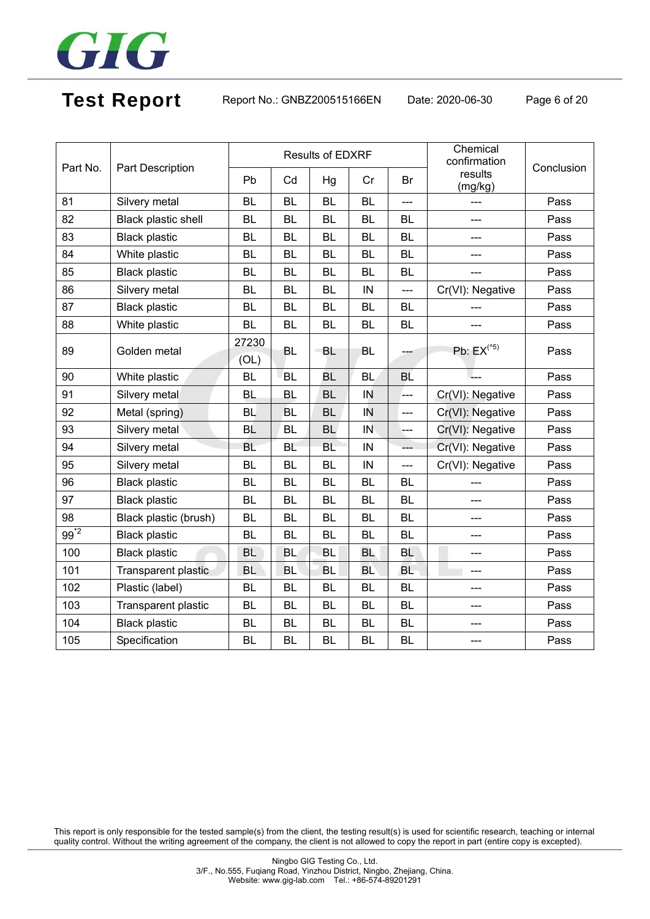

# **Test Report** Report No.: GNBZ200515166EN Date: 2020-06-30 Page 6 of 20

| Part No.<br>Part Description |                            | <b>Results of EDXRF</b> |           |           |           |                | Chemical<br>confirmation | Conclusion |
|------------------------------|----------------------------|-------------------------|-----------|-----------|-----------|----------------|--------------------------|------------|
|                              |                            | Pb                      | Cd        | Hg        | Cr        | Br             | results<br>(mg/kg)       |            |
| 81                           | Silvery metal              | <b>BL</b>               | <b>BL</b> | <b>BL</b> | <b>BL</b> | ---            | ---                      | Pass       |
| 82                           | Black plastic shell        | <b>BL</b>               | <b>BL</b> | <b>BL</b> | <b>BL</b> | <b>BL</b>      |                          | Pass       |
| 83                           | <b>Black plastic</b>       | <b>BL</b>               | <b>BL</b> | <b>BL</b> | <b>BL</b> | <b>BL</b>      | ---                      | Pass       |
| 84                           | White plastic              | <b>BL</b>               | <b>BL</b> | <b>BL</b> | <b>BL</b> | <b>BL</b>      | ---                      | Pass       |
| 85                           | <b>Black plastic</b>       | <b>BL</b>               | <b>BL</b> | <b>BL</b> | <b>BL</b> | <b>BL</b>      |                          | Pass       |
| 86                           | Silvery metal              | <b>BL</b>               | <b>BL</b> | <b>BL</b> | IN        | $---$          | Cr(VI): Negative         | Pass       |
| 87                           | <b>Black plastic</b>       | <b>BL</b>               | <b>BL</b> | <b>BL</b> | <b>BL</b> | <b>BL</b>      |                          | Pass       |
| 88                           | White plastic              | <b>BL</b>               | <b>BL</b> | <b>BL</b> | <b>BL</b> | <b>BL</b>      | ---                      | Pass       |
| 89                           | Golden metal               | 27230<br>(OL)           | BL        | <b>BL</b> | BL        |                | Pb: $EX^{(5)}$           | Pass       |
| 90                           | White plastic              | <b>BL</b>               | <b>BL</b> | <b>BL</b> | <b>BL</b> | <b>BL</b>      |                          | Pass       |
| 91                           | Silvery metal              | <b>BL</b>               | <b>BL</b> | <b>BL</b> | IN        | ---            | Cr(VI): Negative         | Pass       |
| 92                           | Metal (spring)             | <b>BL</b>               | <b>BL</b> | <b>BL</b> | IN        | $\overline{a}$ | Cr(VI): Negative         | Pass       |
| 93                           | Silvery metal              | <b>BL</b>               | <b>BL</b> | <b>BL</b> | IN        | $--$           | Cr(VI): Negative         | Pass       |
| 94                           | Silvery metal              | <b>BL</b>               | <b>BL</b> | <b>BL</b> | IN        |                | Cr(VI): Negative         | Pass       |
| 95                           | Silvery metal              | <b>BL</b>               | <b>BL</b> | <b>BL</b> | IN        | $---$          | Cr(VI): Negative         | Pass       |
| 96                           | <b>Black plastic</b>       | <b>BL</b>               | <b>BL</b> | <b>BL</b> | <b>BL</b> | <b>BL</b>      | ---                      | Pass       |
| 97                           | <b>Black plastic</b>       | <b>BL</b>               | <b>BL</b> | <b>BL</b> | <b>BL</b> | <b>BL</b>      | ---                      | Pass       |
| 98                           | Black plastic (brush)      | <b>BL</b>               | BL        | <b>BL</b> | <b>BL</b> | <b>BL</b>      | ---                      | Pass       |
| $99^{\text{*}2}$             | <b>Black plastic</b>       | <b>BL</b>               | <b>BL</b> | <b>BL</b> | <b>BL</b> | <b>BL</b>      | ---                      | Pass       |
| 100                          | <b>Black plastic</b>       | <b>BL</b>               | <b>BL</b> | <b>BL</b> | <b>BL</b> | <b>BL</b>      | ---                      | Pass       |
| 101                          | <b>Transparent plastic</b> | <b>BL</b>               | <b>BL</b> | <b>BL</b> | <b>BL</b> | <b>BL</b>      | ---                      | Pass       |
| 102                          | Plastic (label)            | <b>BL</b>               | <b>BL</b> | <b>BL</b> | <b>BL</b> | <b>BL</b>      | ---                      | Pass       |
| 103                          | Transparent plastic        | <b>BL</b>               | BL        | <b>BL</b> | <b>BL</b> | <b>BL</b>      | ---                      | Pass       |
| 104                          | <b>Black plastic</b>       | <b>BL</b>               | <b>BL</b> | <b>BL</b> | <b>BL</b> | <b>BL</b>      |                          | Pass       |
| 105                          | Specification              | <b>BL</b>               | BL        | <b>BL</b> | <b>BL</b> | <b>BL</b>      | ---                      | Pass       |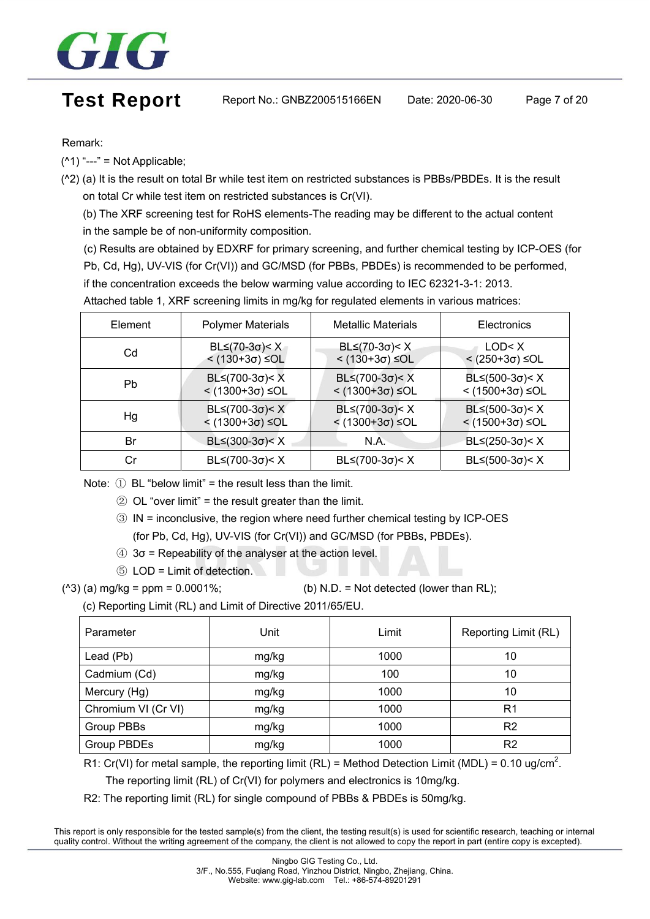

### Remark:

- $(^{41)}$  "---" = Not Applicable;
- (^2) (a) It is the result on total Br while test item on restricted substances is PBBs/PBDEs. It is the result on total Cr while test item on restricted substances is Cr(VI).

(b) The XRF screening test for RoHS elements-The reading may be different to the actual content in the sample be of non-uniformity composition.

(c) Results are obtained by EDXRF for primary screening, and further chemical testing by ICP-OES (for Pb, Cd, Hg), UV-VIS (for Cr(VI)) and GC/MSD (for PBBs, PBDEs) is recommended to be performed,

 if the concentration exceeds the below warming value according to IEC 62321-3-1: 2013. Attached table 1, XRF screening limits in mg/kg for regulated elements in various matrices:

| Element | <b>Polymer Materials</b>        | <b>Metallic Materials</b>       | Electronics                     |
|---------|---------------------------------|---------------------------------|---------------------------------|
| Cd      | BL $\leq$ (70-3 $\sigma$ )< X   | $BL≤(70-3σ) < X$                | LOD< X                          |
|         | $<$ (130+3 $\sigma$ ) $\leq$ OL | $<$ (130+3 $\sigma$ ) $\leq$ OL | $<$ (250+3 $\sigma$ ) $\leq$ OL |
| Pb      | $BL≤(700-3σ) < X$               | BL≤(700-3σ)< X                  | $BL≤(500-3σ) < X$               |
|         | $<$ (1300+3σ) ≤OL               | $<$ (1300+3σ) ≤OL               | $<$ (1500+3σ) ≤OL               |
| Hg      | BL≤(700-3σ)< X                  | BL≤(700-3σ)< X                  | $BL≤(500-3σ) < X$               |
|         | $<$ (1300+3σ) ≤OL               | $<$ (1300+3σ) ≤OL               | $<$ (1500+3σ) ≤OL               |
| Br      | $BL≤(300-3σ) < X$               | N.A.                            | BL≤(250-3σ)< X                  |
| Cr      | $BL≤(700-3σ) < X$               | $BL≤(700-3σ) < X$               | $BL≤(500-3σ) < X$               |

Note:  $\odot$  BL "below limit" = the result less than the limit.

- ② OL "over limit" = the result greater than the limit.
- ③ IN = inconclusive, the region where need further chemical testing by ICP-OES (for Pb, Cd, Hg), UV-VIS (for Cr(VI)) and GC/MSD (for PBBs, PBDEs).
- ④ 3σ = Repeability of the analyser at the action level.
- ⑤ LOD = Limit of detection.

 $(^{4}3)$  (a) mg/kg = ppm = 0.0001%; (b) N.D. = Not detected (lower than RL);

(c) Reporting Limit (RL) and Limit of Directive 2011/65/EU.

| Parameter           | Unit  | Limit | Reporting Limit (RL) |
|---------------------|-------|-------|----------------------|
| Lead (Pb)           | mg/kg | 1000  | 10                   |
| Cadmium (Cd)        | mg/kg | 100   | 10                   |
| Mercury (Hg)        | mg/kg | 1000  | 10                   |
| Chromium VI (Cr VI) | mg/kg | 1000  | R <sub>1</sub>       |
| Group PBBs          | mg/kg | 1000  | R <sub>2</sub>       |
| Group PBDEs         | mg/kg | 1000  | R <sub>2</sub>       |

R1: Cr(VI) for metal sample, the reporting limit (RL) = Method Detection Limit (MDL) = 0.10 ug/cm<sup>2</sup>.

The reporting limit (RL) of Cr(VI) for polymers and electronics is 10mg/kg.

R2: The reporting limit (RL) for single compound of PBBs & PBDEs is 50mg/kg.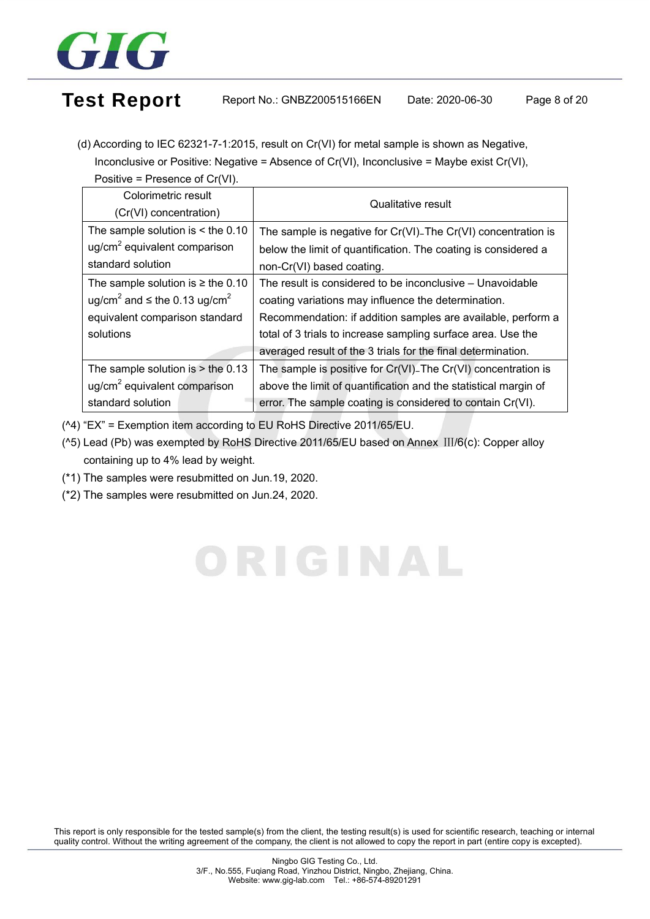

**Test Report** Report No.: GNBZ200515166EN Date: 2020-06-30 Page 8 of 20

(d) According to IEC 62321-7-1:2015, result on Cr(VI) for metal sample is shown as Negative, Inconclusive or Positive: Negative = Absence of  $Cr(VI)$ , Inconclusive = Maybe exist  $Cr(VI)$ ,

| Colorimetric result<br>(Cr(VI) concentration)             | Qualitative result                                                 |  |  |  |
|-----------------------------------------------------------|--------------------------------------------------------------------|--|--|--|
| The sample solution is $<$ the 0.10                       | The sample is negative for $Cr(VI)$ -The $Cr(VI)$ concentration is |  |  |  |
| $ug/cm2$ equivalent comparison                            | below the limit of quantification. The coating is considered a     |  |  |  |
| standard solution                                         | non-Cr(VI) based coating.                                          |  |  |  |
| The sample solution is $\geq$ the 0.10                    | The result is considered to be inconclusive – Unavoidable          |  |  |  |
| ug/cm <sup>2</sup> and $\leq$ the 0.13 ug/cm <sup>2</sup> | coating variations may influence the determination.                |  |  |  |
| equivalent comparison standard                            | Recommendation: if addition samples are available, perform a       |  |  |  |
| solutions                                                 | total of 3 trials to increase sampling surface area. Use the       |  |  |  |
|                                                           | averaged result of the 3 trials for the final determination.       |  |  |  |
| The sample solution is $>$ the 0.13                       | The sample is positive for Cr(VI)-The Cr(VI) concentration is      |  |  |  |
| $\mu$ g/cm <sup>2</sup> equivalent comparison             | above the limit of quantification and the statistical margin of    |  |  |  |
| standard solution                                         | error. The sample coating is considered to contain Cr(VI).         |  |  |  |

(^4) "EX" = Exemption item according to EU RoHS Directive 2011/65/EU.

- (^5) Lead (Pb) was exempted by RoHS Directive 2011/65/EU based on Annex Ⅲ/6(c): Copper alloy containing up to 4% lead by weight.
- (\*1) The samples were resubmitted on Jun.19, 2020.
- (\*2) The samples were resubmitted on Jun.24, 2020.

# ORIGINAL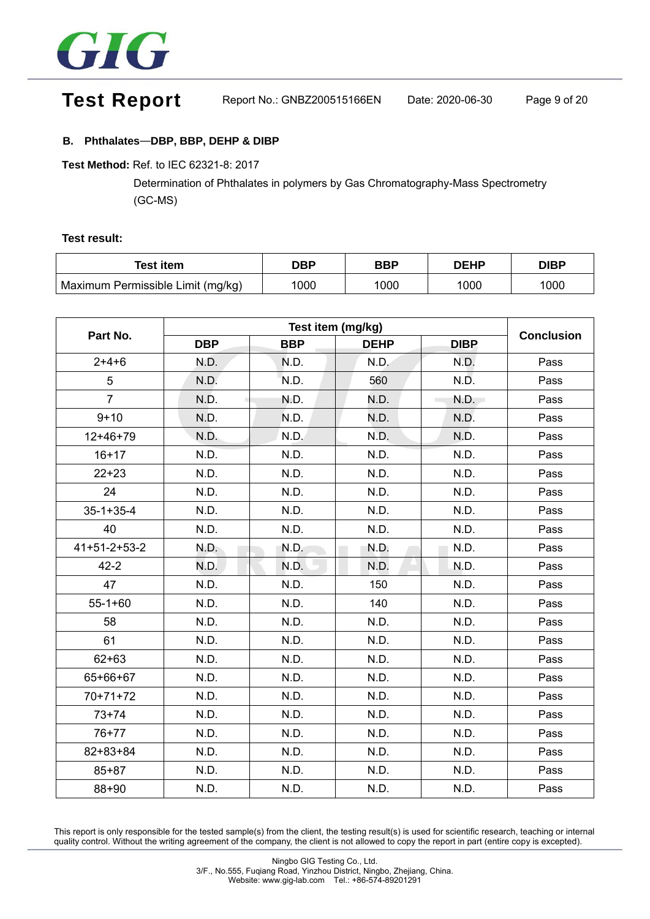

## **Test Report** Report No.: GNBZ200515166EN Date: 2020-06-30 Page 9 of 20

### **B. Phthalates**—**DBP, BBP, DEHP & DIBP**

### **Test Method:** Ref. to IEC 62321-8: 2017

Determination of Phthalates in polymers by Gas Chromatography-Mass Spectrometry (GC-MS)

### **Test result:**

| <b>Test item</b>                  | DBP  | BBP  | <b>DEHP</b> | DIBP |
|-----------------------------------|------|------|-------------|------|
| Maximum Permissible Limit (mg/kg) | 1000 | 1000 | 1000        | 1000 |

| Part No.          |            | <b>Conclusion</b> |             |             |      |
|-------------------|------------|-------------------|-------------|-------------|------|
|                   | <b>DBP</b> | <b>BBP</b>        | <b>DEHP</b> | <b>DIBP</b> |      |
| $2+4+6$           | N.D.       | N.D.              | N.D.        | N.D.        | Pass |
| 5                 | N.D.       | N.D.              | 560         | N.D.        | Pass |
| $\overline{7}$    | N.D.       | N.D.              | N.D.        | N.D.        | Pass |
| $9 + 10$          | N.D.       | N.D.              | N.D.        | N.D.        | Pass |
| $12+46+79$        | N.D.       | N.D.              | N.D.        | N.D.        | Pass |
| $16 + 17$         | N.D.       | N.D.              | N.D.        | N.D.        | Pass |
| $22+23$           | N.D.       | N.D.              | N.D.        | N.D.        | Pass |
| 24                | N.D.       | N.D.              | N.D.        | N.D.        | Pass |
| $35 - 1 + 35 - 4$ | N.D.       | N.D.              | N.D.        | N.D.        | Pass |
| 40                | N.D.       | N.D.              | N.D.        | N.D.        | Pass |
| $41+51-2+53-2$    | N.D.       | N.D.              | N.D.        | N.D.        | Pass |
| $42 - 2$          | N.D.       | N.D.              | N.D.        | N.D.        | Pass |
| 47                | N.D.       | N.D.              | 150         | N.D.        | Pass |
| $55 - 1 + 60$     | N.D.       | N.D.              | 140         | N.D.        | Pass |
| 58                | N.D.       | N.D.              | N.D.        | N.D.        | Pass |
| 61                | N.D.       | N.D.              | N.D.        | N.D.        | Pass |
| $62 + 63$         | N.D.       | N.D.              | N.D.        | N.D.        | Pass |
| 65+66+67          | N.D.       | N.D.              | N.D.        | N.D.        | Pass |
| $70+71+72$        | N.D.       | N.D.              | N.D.        | N.D.        | Pass |
| $73 + 74$         | N.D.       | N.D.              | N.D.        | N.D.        | Pass |
| $76 + 77$         | N.D.       | N.D.              | N.D.        | N.D.        | Pass |
| 82+83+84          | N.D.       | N.D.              | N.D.        | N.D.        | Pass |
| $85 + 87$         | N.D.       | N.D.              | N.D.        | N.D.        | Pass |
| 88+90             | N.D.       | N.D.              | N.D.        | N.D.        | Pass |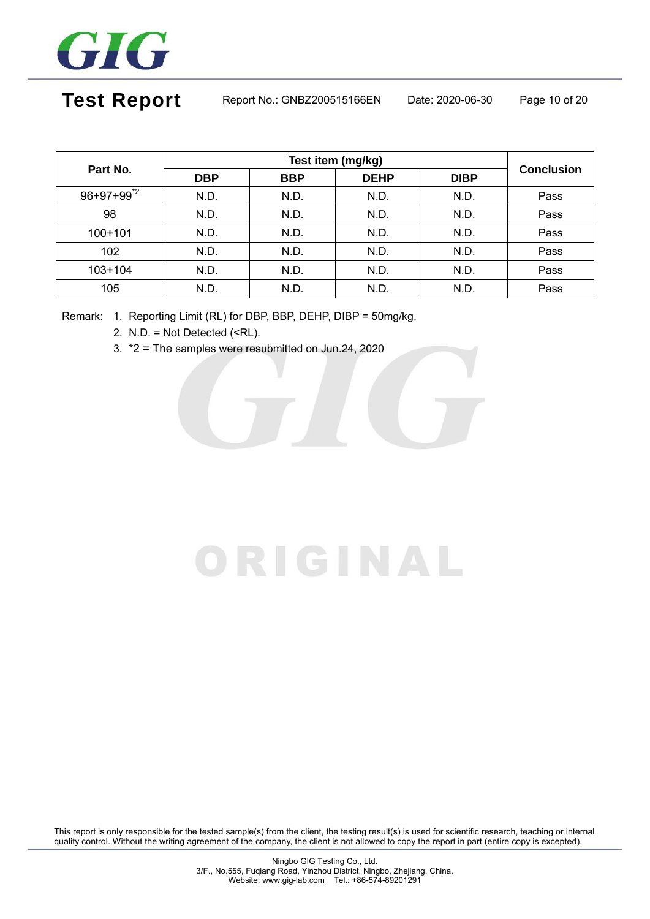

## **Test Report** Report No.: GNBZ200515166EN Date: 2020-06-30 Page 10 of 20

| Part No.       | <b>DBP</b> | <b>BBP</b> | <b>DEHP</b> | <b>DIBP</b> | <b>Conclusion</b> |
|----------------|------------|------------|-------------|-------------|-------------------|
| $96+97+99^{2}$ | N.D.       | N.D.       | N.D.        | N.D.        | Pass              |
| 98             | N.D.       | N.D.       | N.D.        | N.D.        | Pass              |
| $100 + 101$    | N.D.       | N.D.       | N.D.        | N.D.        | Pass              |
| 102            | N.D.       | N.D.       | N.D.        | N.D.        | Pass              |
| $103 + 104$    | N.D.       | N.D.       | N.D.        | N.D.        | Pass              |
| 105            | N.D.       | N.D.       | N.D.        | N.D.        | Pass              |

Remark: 1. Reporting Limit (RL) for DBP, BBP, DEHP, DIBP = 50mg/kg.

- 2. N.D. = Not Detected (<RL).
- 3. \*2 = The samples were resubmitted on Jun.24, 2020

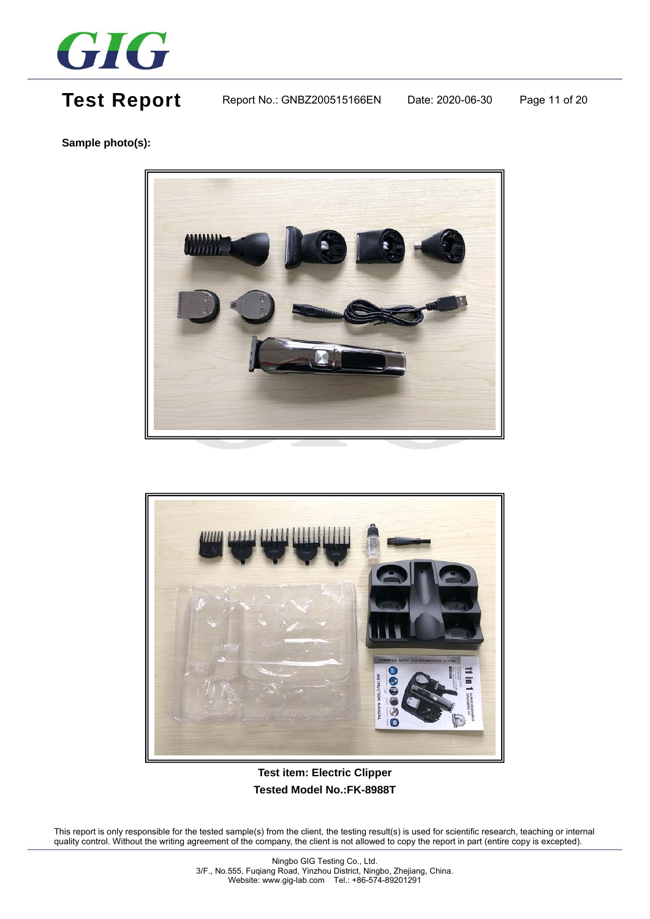

**Test Report** Report No.: GNBZ200515166EN Date: 2020-06-30 Page 11 of 20

### **Sample photo(s):**





**Test item: Electric Clipper Tested Model No.:FK-8988T**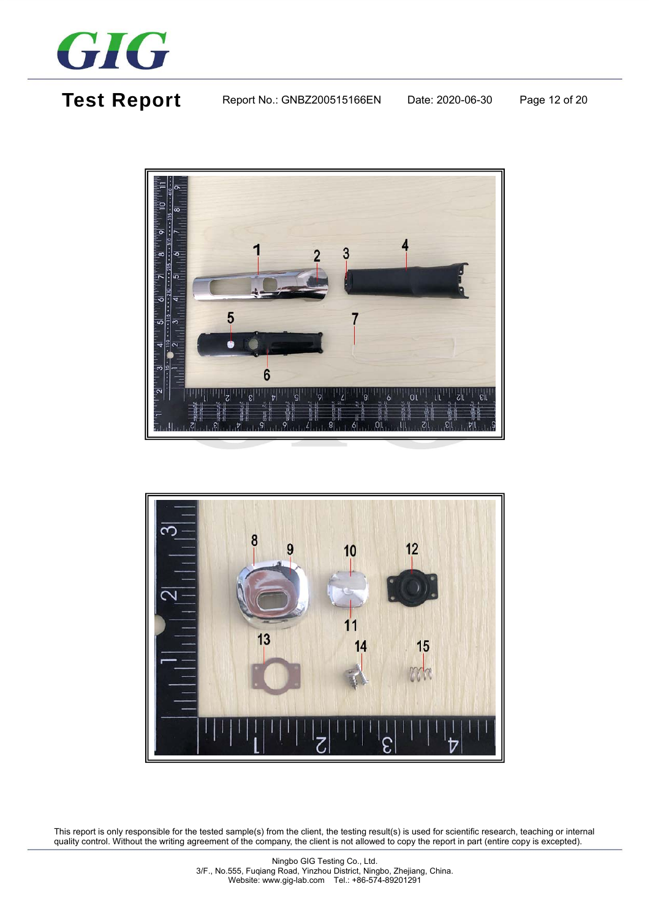

**Test Report** Report No.: GNBZ200515166EN Date: 2020-06-30 Page 12 of 20



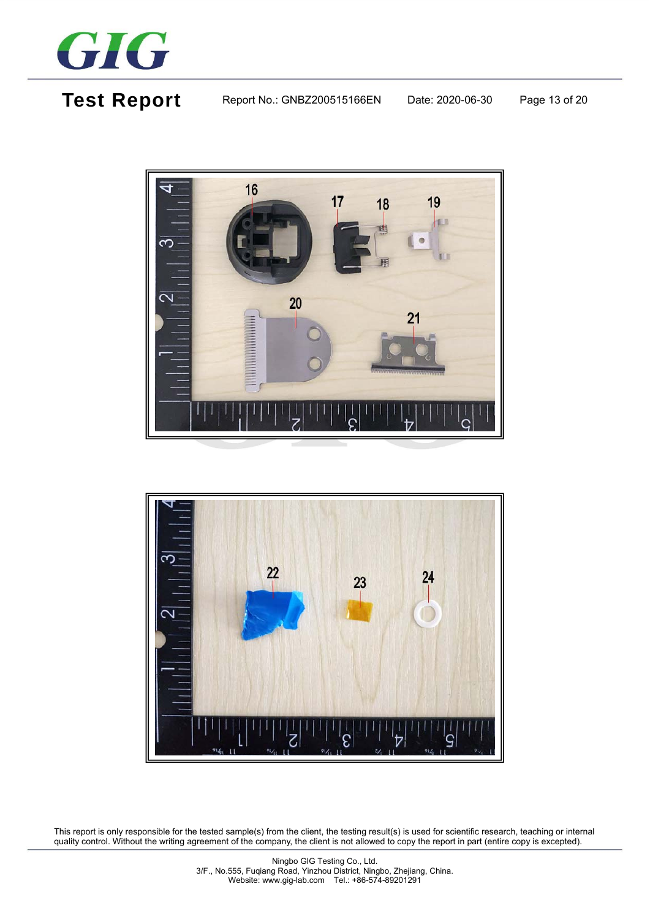

**Test Report** Report No.: GNBZ200515166EN Date: 2020-06-30 Page 13 of 20



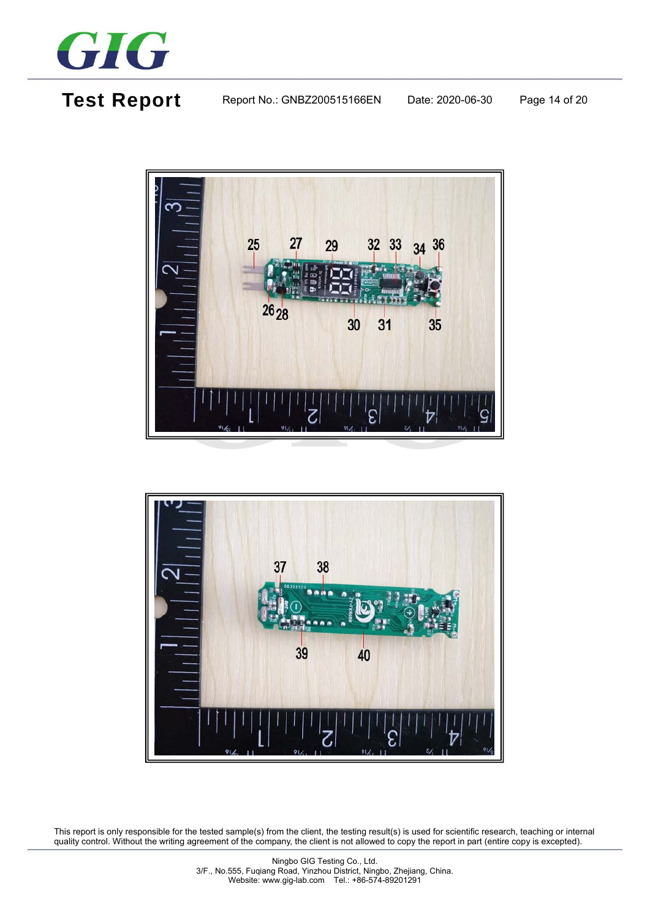

**Test Report** Report No.: GNBZ200515166EN Date: 2020-06-30 Page 14 of 20



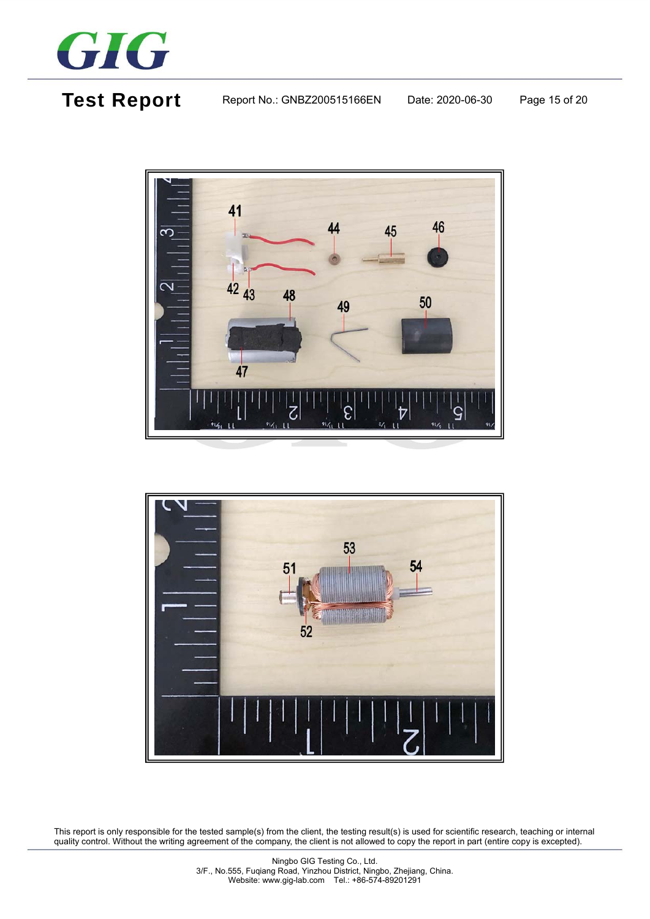

**Test Report** Report No.: GNBZ200515166EN Date: 2020-06-30 Page 15 of 20



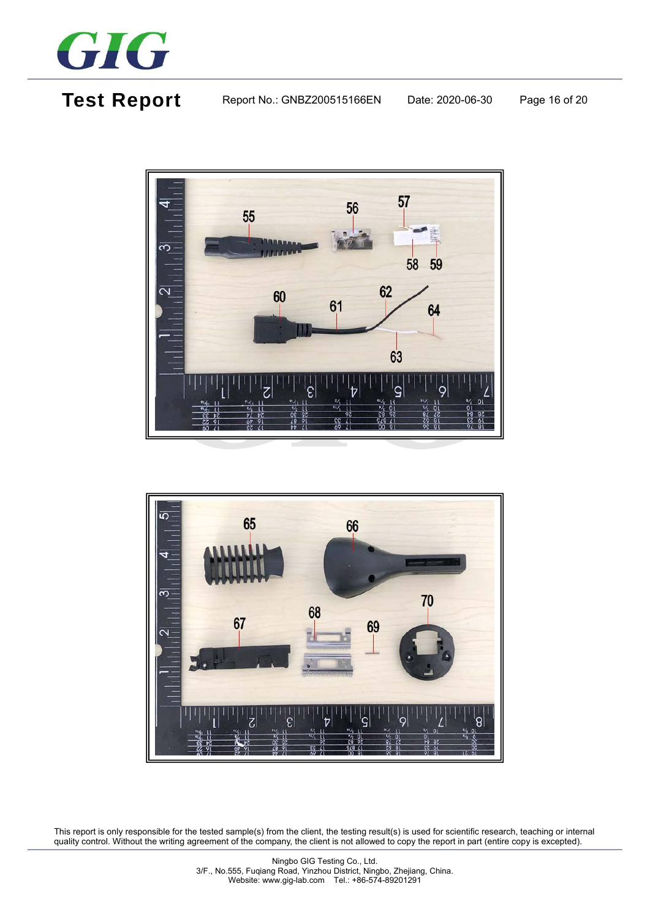

**Test Report** Report No.: GNBZ200515166EN Date: 2020-06-30 Page 16 of 20



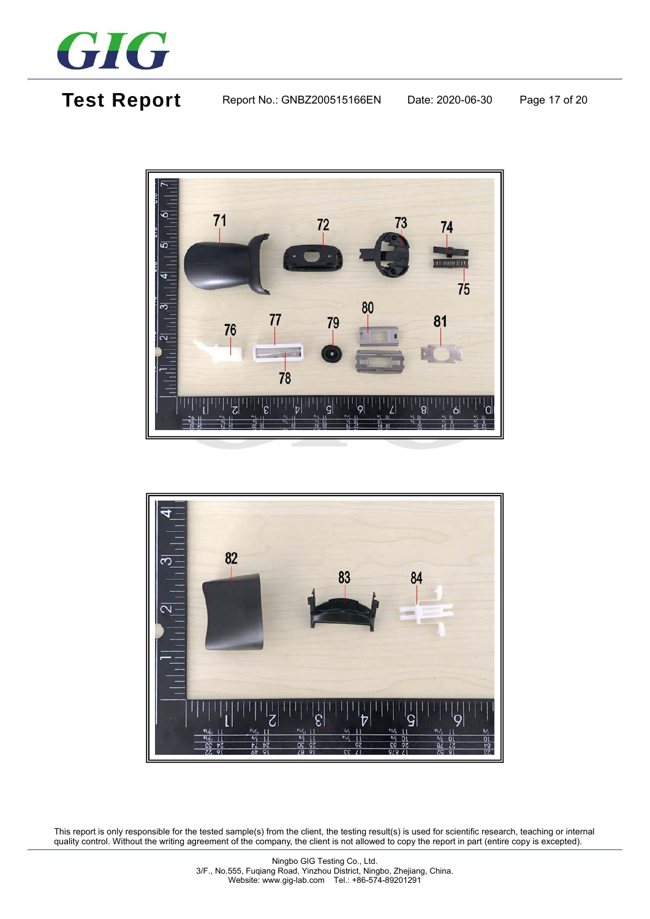

**Test Report** Report No.: GNBZ200515166EN Date: 2020-06-30 Page 17 of 20



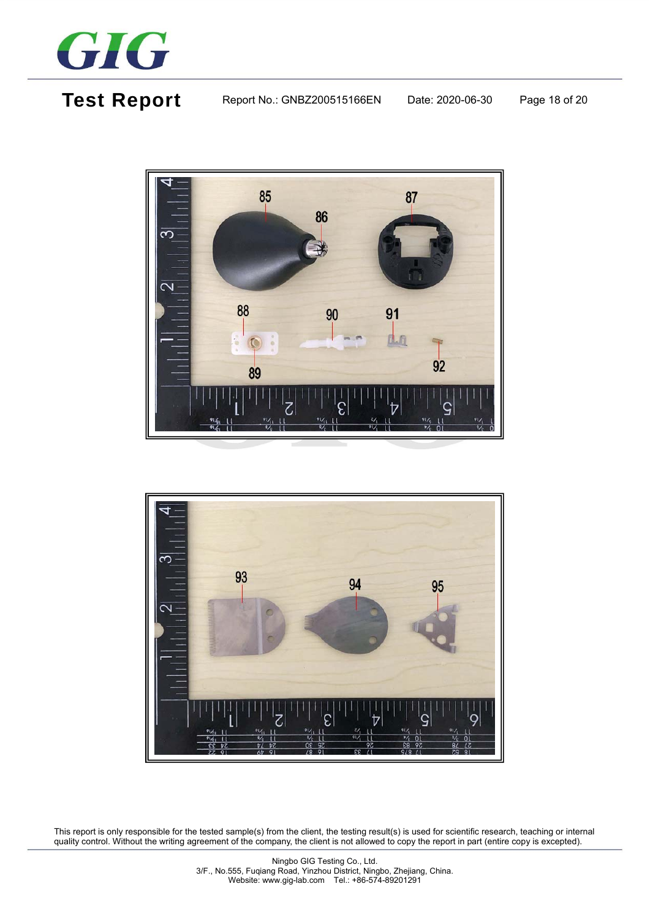



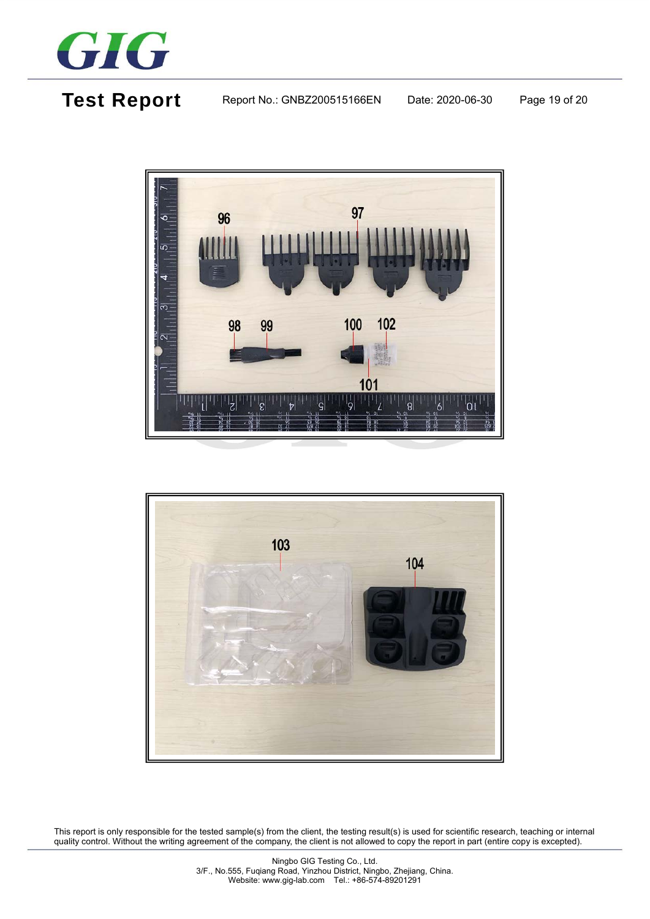

**Test Report** Report No.: GNBZ200515166EN Date: 2020-06-30 Page 19 of 20